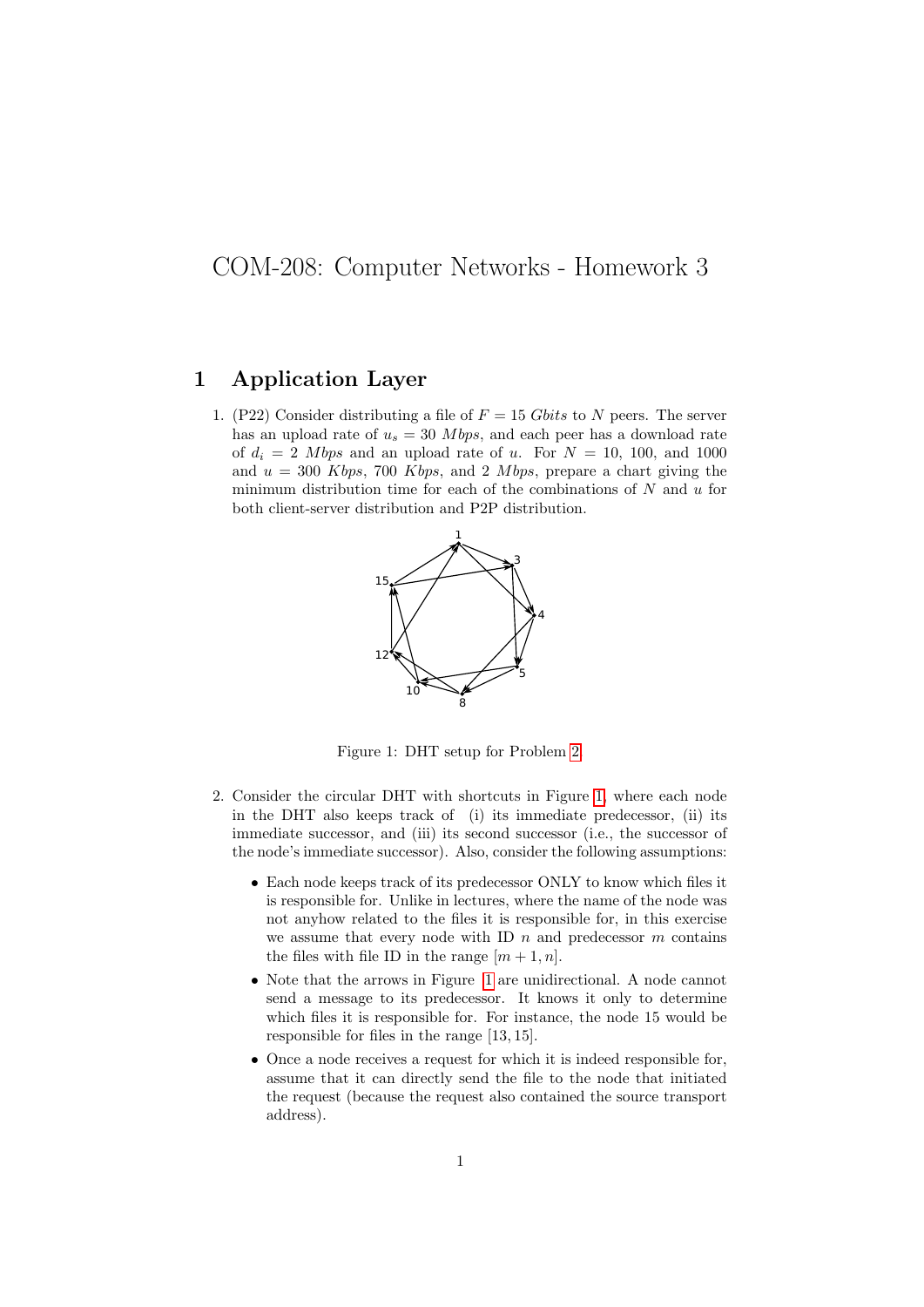## COM-208: Computer Networks - Homework 3

## 1 Application Layer

<span id="page-0-1"></span>1. (P22) Consider distributing a file of  $F = 15 \text{ Gbits}$  to N peers. The server has an upload rate of  $u_s = 30$  *Mbps*, and each peer has a download rate of  $d_i = 2$  Mbps and an upload rate of u. For  $N = 10$ , 100, and 1000 and  $u = 300$  Kbps, 700 Kbps, and 2 Mbps, prepare a chart giving the minimum distribution time for each of the combinations of  $N$  and  $u$  for both client-server distribution and P2P distribution.



Figure 1: DHT setup for Problem [2.](#page-0-0)

- <span id="page-0-0"></span>2. Consider the circular DHT with shortcuts in Figure [1,](#page-0-1) where each node in the DHT also keeps track of (i) its immediate predecessor, (ii) its immediate successor, and (iii) its second successor (i.e., the successor of the node's immediate successor). Also, consider the following assumptions:
	- Each node keeps track of its predecessor ONLY to know which files it is responsible for. Unlike in lectures, where the name of the node was not anyhow related to the files it is responsible for, in this exercise we assume that every node with ID  $n$  and predecessor  $m$  contains the files with file ID in the range  $[m+1, n]$ .
	- Note that the arrows in Figure [1](#page-0-1) are unidirectional. A node cannot send a message to its predecessor. It knows it only to determine which files it is responsible for. For instance, the node 15 would be responsible for files in the range [13, 15].
	- Once a node receives a request for which it is indeed responsible for, assume that it can directly send the file to the node that initiated the request (because the request also contained the source transport address).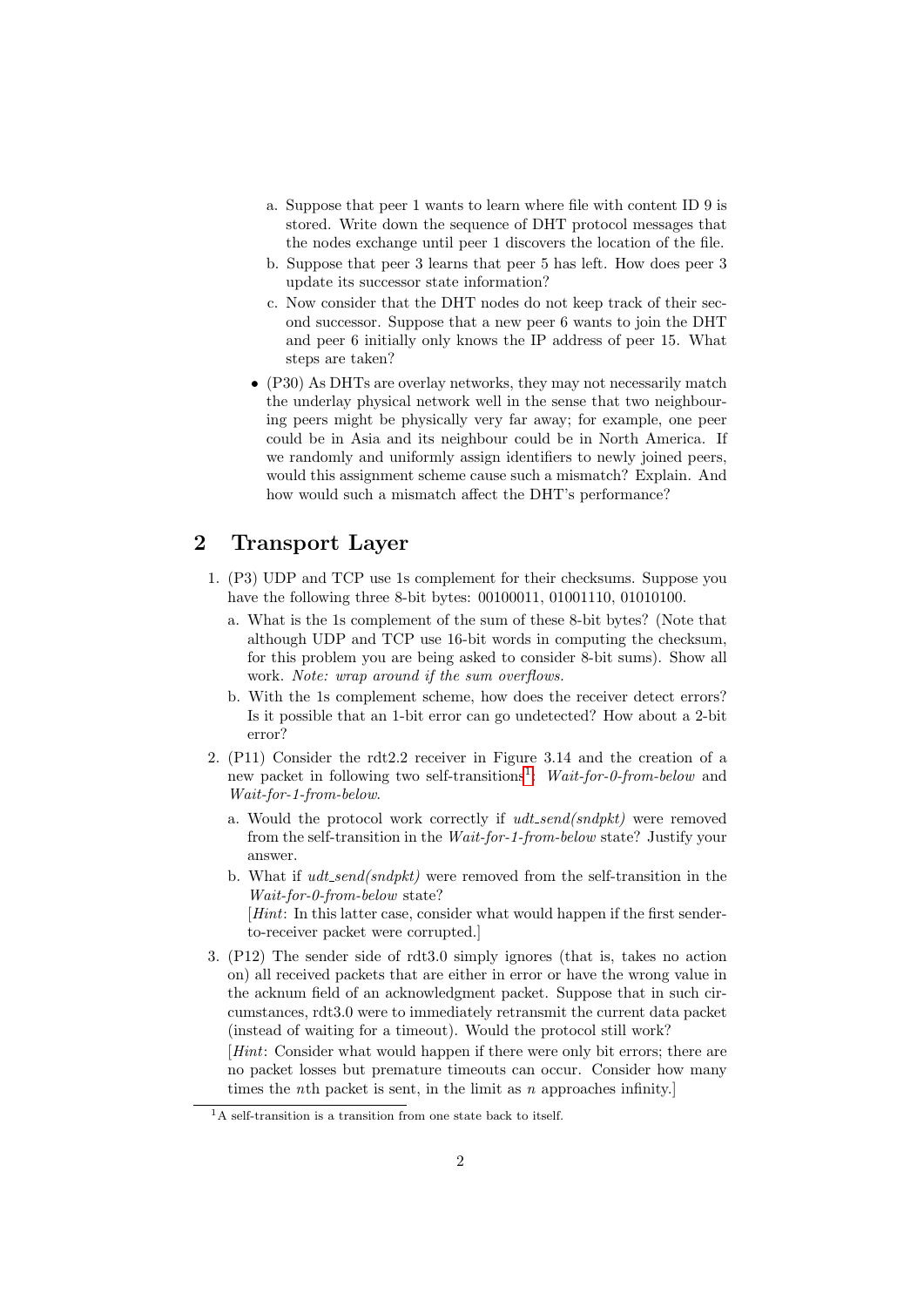- a. Suppose that peer 1 wants to learn where file with content ID 9 is stored. Write down the sequence of DHT protocol messages that the nodes exchange until peer 1 discovers the location of the file.
- b. Suppose that peer 3 learns that peer 5 has left. How does peer 3 update its successor state information?
- c. Now consider that the DHT nodes do not keep track of their second successor. Suppose that a new peer 6 wants to join the DHT and peer 6 initially only knows the IP address of peer 15. What steps are taken?
- (P30) As DHTs are overlay networks, they may not necessarily match the underlay physical network well in the sense that two neighbouring peers might be physically very far away; for example, one peer could be in Asia and its neighbour could be in North America. If we randomly and uniformly assign identifiers to newly joined peers, would this assignment scheme cause such a mismatch? Explain. And how would such a mismatch affect the DHT's performance?

## 2 Transport Layer

- 1. (P3) UDP and TCP use 1s complement for their checksums. Suppose you have the following three 8-bit bytes: 00100011, 01001110, 01010100.
	- a. What is the 1s complement of the sum of these 8-bit bytes? (Note that although UDP and TCP use 16-bit words in computing the checksum, for this problem you are being asked to consider 8-bit sums). Show all work. Note: wrap around if the sum overflows.
	- b. With the 1s complement scheme, how does the receiver detect errors? Is it possible that an 1-bit error can go undetected? How about a 2-bit error?
- 2. (P11) Consider the rdt2.2 receiver in Figure 3.14 and the creation of a new packet in following two self-transitions<sup>[1](#page-1-0)</sup>: Wait-for-0-from-below and Wait-for-1-from-below.
	- a. Would the protocol work correctly if  $udt\_send(sndpkt)$  were removed from the self-transition in the Wait-for-1-from-below state? Justify your answer.
	- b. What if  $udt\_send(sndpkt)$  were removed from the self-transition in the Wait-for-0-from-below state?

[*Hint*: In this latter case, consider what would happen if the first senderto-receiver packet were corrupted.]

3. (P12) The sender side of rdt3.0 simply ignores (that is, takes no action on) all received packets that are either in error or have the wrong value in the acknum field of an acknowledgment packet. Suppose that in such circumstances, rdt3.0 were to immediately retransmit the current data packet (instead of waiting for a timeout). Would the protocol still work?

[Hint: Consider what would happen if there were only bit errors; there are no packet losses but premature timeouts can occur. Consider how many times the *n*th packet is sent, in the limit as *n* approaches infinity.

<span id="page-1-0"></span><sup>&</sup>lt;sup>1</sup>A self-transition is a transition from one state back to itself.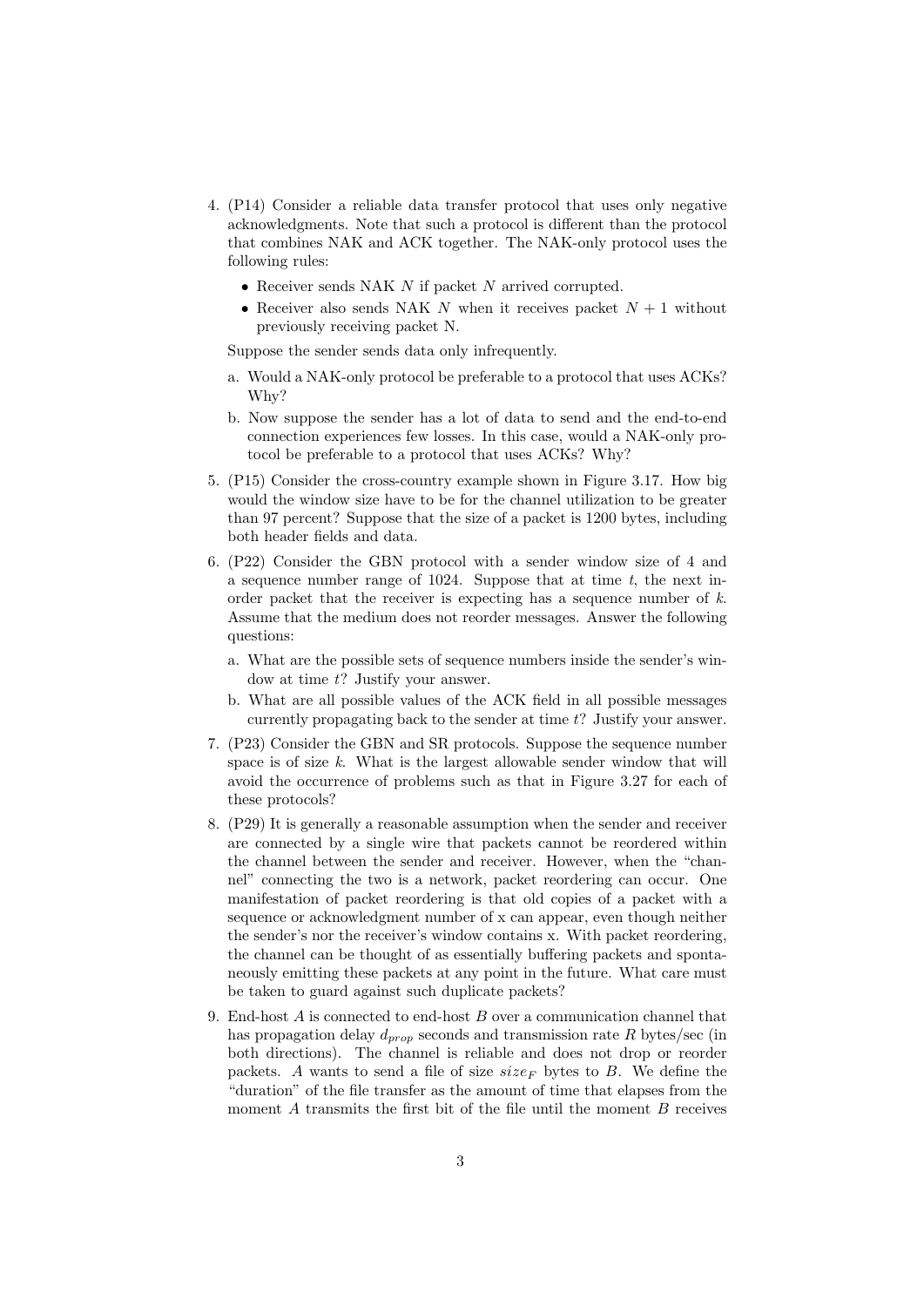- 4. (P14) Consider a reliable data transfer protocol that uses only negative acknowledgments. Note that such a protocol is different than the protocol that combines NAK and ACK together. The NAK-only protocol uses the following rules:
	- $\bullet\,$  Receiver sends NAK  $N$  if packet  $N$  arrived corrupted.
	- Receiver also sends NAK N when it receives packet  $N+1$  without previously receiving packet N.

Suppose the sender sends data only infrequently.

- a. Would a NAK-only protocol be preferable to a protocol that uses ACKs? Why?
- b. Now suppose the sender has a lot of data to send and the end-to-end connection experiences few losses. In this case, would a NAK-only protocol be preferable to a protocol that uses ACKs? Why?
- 5. (P15) Consider the cross-country example shown in Figure 3.17. How big would the window size have to be for the channel utilization to be greater than 97 percent? Suppose that the size of a packet is 1200 bytes, including both header fields and data.
- 6. (P22) Consider the GBN protocol with a sender window size of 4 and a sequence number range of 1024. Suppose that at time  $t$ , the next inorder packet that the receiver is expecting has a sequence number of k. Assume that the medium does not reorder messages. Answer the following questions:
	- a. What are the possible sets of sequence numbers inside the sender's window at time t? Justify your answer.
	- b. What are all possible values of the ACK field in all possible messages currently propagating back to the sender at time t? Justify your answer.
- 7. (P23) Consider the GBN and SR protocols. Suppose the sequence number space is of size  $k$ . What is the largest allowable sender window that will avoid the occurrence of problems such as that in Figure 3.27 for each of these protocols?
- 8. (P29) It is generally a reasonable assumption when the sender and receiver are connected by a single wire that packets cannot be reordered within the channel between the sender and receiver. However, when the "channel" connecting the two is a network, packet reordering can occur. One manifestation of packet reordering is that old copies of a packet with a sequence or acknowledgment number of x can appear, even though neither the sender's nor the receiver's window contains x. With packet reordering, the channel can be thought of as essentially buffering packets and spontaneously emitting these packets at any point in the future. What care must be taken to guard against such duplicate packets?
- 9. End-host A is connected to end-host B over a communication channel that has propagation delay  $d_{prop}$  seconds and transmission rate R bytes/sec (in both directions). The channel is reliable and does not drop or reorder packets. A wants to send a file of size  $size_F$  bytes to B. We define the "duration" of the file transfer as the amount of time that elapses from the moment  $A$  transmits the first bit of the file until the moment  $B$  receives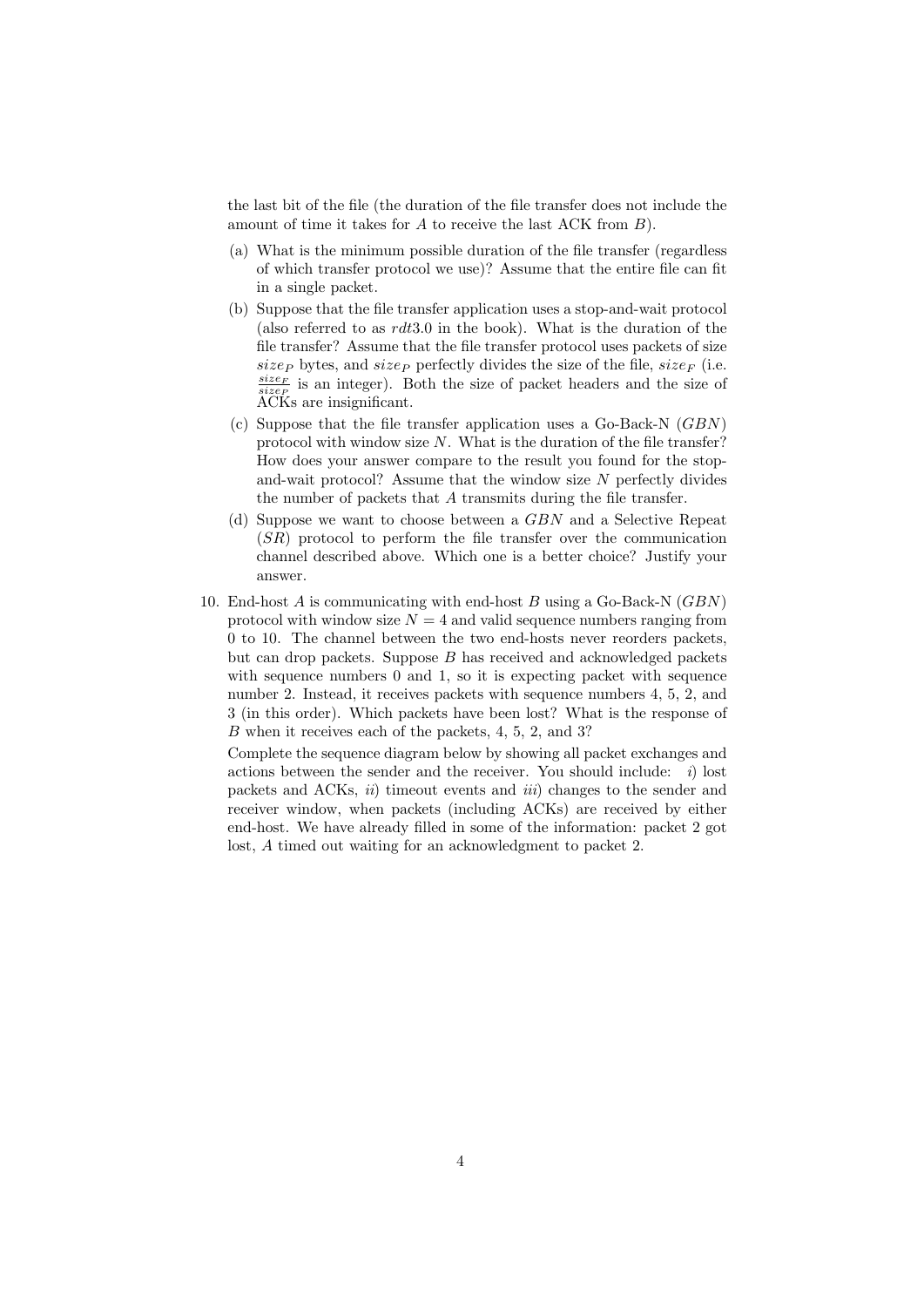the last bit of the file (the duration of the file transfer does not include the amount of time it takes for A to receive the last ACK from B).

- (a) What is the minimum possible duration of the file transfer (regardless of which transfer protocol we use)? Assume that the entire file can fit in a single packet.
- (b) Suppose that the file transfer application uses a stop-and-wait protocol (also referred to as  $rdt3.0$  in the book). What is the duration of the file transfer? Assume that the file transfer protocol uses packets of size size<sub>P</sub> bytes, and size<sub>P</sub> perfectly divides the size of the file, size<sub>F</sub> (i.e.  $\frac{size_F}{size_F}$  is an integer). Both the size of packet headers and the size of ACKs are insignificant.
- (c) Suppose that the file transfer application uses a Go-Back-N (GBN) protocol with window size  $N$ . What is the duration of the file transfer? How does your answer compare to the result you found for the stopand-wait protocol? Assume that the window size  $N$  perfectly divides the number of packets that A transmits during the file transfer.
- (d) Suppose we want to choose between a GBN and a Selective Repeat (SR) protocol to perform the file transfer over the communication channel described above. Which one is a better choice? Justify your answer.
- 10. End-host  $A$  is communicating with end-host  $B$  using a Go-Back-N  $(GBN)$ protocol with window size  $N = 4$  and valid sequence numbers ranging from 0 to 10. The channel between the two end-hosts never reorders packets, but can drop packets. Suppose  $B$  has received and acknowledged packets with sequence numbers 0 and 1, so it is expecting packet with sequence number 2. Instead, it receives packets with sequence numbers 4, 5, 2, and 3 (in this order). Which packets have been lost? What is the response of B when it receives each of the packets, 4, 5, 2, and 3?

Complete the sequence diagram below by showing all packet exchanges and actions between the sender and the receiver. You should include:  $i)$  lost packets and ACKs,  $ii)$  timeout events and  $iii)$  changes to the sender and receiver window, when packets (including ACKs) are received by either end-host. We have already filled in some of the information: packet 2 got lost, A timed out waiting for an acknowledgment to packet 2.